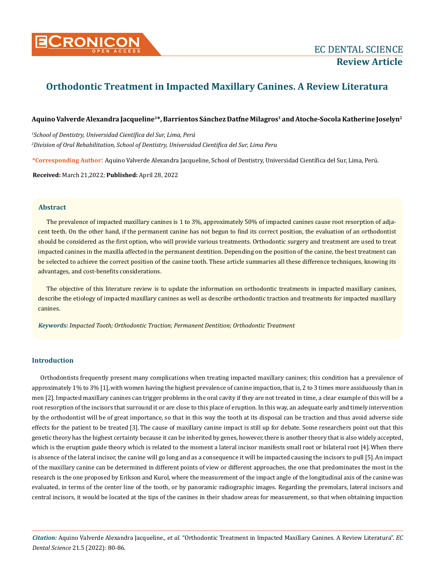

# **Orthodontic Treatment in Impacted Maxillary Canines. A Review Literatura**

# **Aquino Valverde Alexandra Jacqueline1\*, Barrientos Sánchez Datfne Milagros1 and Atoche-Socola Katherine Joselyn2**

*1 School of Dentistry, Universidad Científica del Sur, Lima, Perú 2 Division of Oral Rehabilitation, School of Dentistry, Universidad Cientifica del Sur, Lima Peru*

**\*Corresponding Author**: Aquino Valverde Alexandra Jacqueline, School of Dentistry, Universidad Científica del Sur, Lima, Perú.

**Received:** March 21,2022; **Published:** April 28, 2022

# **Abstract**

The prevalence of impacted maxillary canines is 1 to 3%, approximately 50% of impacted canines cause root resorption of adjacent teeth. On the other hand, if the permanent canine has not begun to find its correct position, the evaluation of an orthodontist should be considered as the first option, who will provide various treatments. Orthodontic surgery and treatment are used to treat impacted canines in the maxilla affected in the permanent dentition. Depending on the position of the canine, the best treatment can be selected to achieve the correct position of the canine tooth. These article summaries all these difference techniques, knowing its advantages, and cost-benefits considerations.

The objective of this literature review is to update the information on orthodontic treatments in impacted maxillary canines, describe the etiology of impacted maxillary canines as well as describe orthodontic traction and treatments for impacted maxillary canines.

*Keywords: Impacted Tooth; Orthodontic Traction; Permanent Dentition; Orthodontic Treatment*

# **Introduction**

Orthodontists frequently present many complications when treating impacted maxillary canines; this condition has a prevalence of approximately 1% to 3% [1],with women having the highest prevalence of canine impaction, that is, 2 to 3 times more assiduously than in men [2]. Impacted maxillary canines can trigger problems in the oral cavity if they are not treated in time, a clear example of this will be a root resorption of the incisors that surround it or are close to this place of eruption. In this way, an adequate early and timely intervention by the orthodontist will be of great importance, so that in this way the tooth at its disposal can be traction and thus avoid adverse side effects for the patient to be treated [3]. The cause of maxillary canine impact is still up for debate. Some researchers point out that this genetic theory has the highest certainty because it can be inherited by genes, however, there is another theory that is also widely accepted, which is the eruption guide theory which is related to the moment a lateral incisor manifests small root or bilateral root [4].When there is absence of the lateral incisor, the canine will go long and as a consequence it will be impacted causing the incisors to pull [5].An impact of the maxillary canine can be determined in different points of view or different approaches, the one that predominates the most in the research is the one proposed by Erikson and Kurol, where the measurement of the impact angle of the longitudinal axis of the canine was evaluated, in terms of the center line of the tooth, or by panoramic radiographic images. Regarding the premolars, lateral incisors and central incisors, it would be located at the tips of the canines in their shadow areas for measurement, so that when obtaining impaction

*Citation:* Aquino Valverde Alexandra Jacqueline*., et al.* "Orthodontic Treatment in Impacted Maxillary Canines. A Review Literatura". *EC Dental Science* 21.5 (2022): 80-86.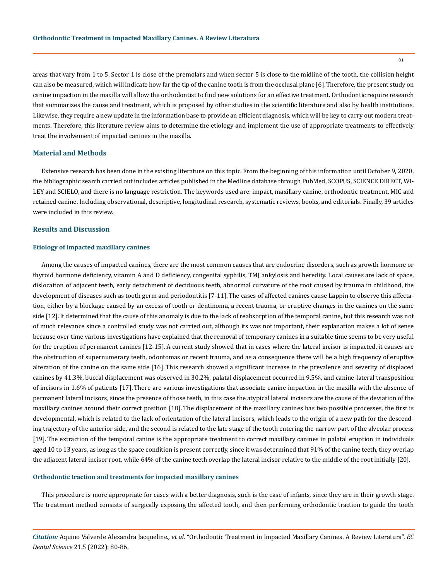areas that vary from 1 to 5. Sector 1 is close of the premolars and when sector 5 is close to the midline of the tooth, the collision height can also be measured, which will indicate how far the tip of the canine tooth is from the occlusal plane [6].Therefore, the present study on canine impaction in the maxilla will allow the orthodontist to find new solutions for an effective treatment. Orthodontic require research that summarizes the cause and treatment, which is proposed by other studies in the scientific literature and also by health institutions. Likewise, they require a new update in the information base to provide an efficient diagnosis, which will be key to carry out modern treatments. Therefore, this literature review aims to determine the etiology and implement the use of appropriate treatments to effectively treat the involvement of impacted canines in the maxilla.

# **Material and Methods**

Extensive research has been done in the existing literature on this topic. From the beginning of this information until October 9, 2020, the bibliographic search carried out includes articles published in the Medline database through PubMed, SCOPUS, SCIENCE DIRECT, WI-LEY and SCIELO, and there is no language restriction. The keywords used are: impact, maxillary canine, orthodontic treatment, MIC and retained canine. Including observational, descriptive, longitudinal research, systematic reviews, books, and editorials. Finally, 39 articles were included in this review.

# **Results and Discussion**

#### **Etiology of impacted maxillary canines**

Among the causes of impacted canines, there are the most common causes that are endocrine disorders, such as growth hormone or thyroid hormone deficiency, vitamin A and D deficiency, congenital syphilis, TMJ ankylosis and heredity. Local causes are lack of space, dislocation of adjacent teeth, early detachment of deciduous teeth, abnormal curvature of the root caused by trauma in childhood, the development of diseases such as tooth germ and periodontitis [7-11]. The cases of affected canines cause Lappin to observe this affectation, either by a blockage caused by an excess of tooth or dentinoma, a recent trauma, or eruptive changes in the canines on the same side [12].It determined that the cause of this anomaly is due to the lack of reabsorption of the temporal canine, but this research was not of much relevance since a controlled study was not carried out, although its was not important, their explanation makes a lot of sense because over time various investigations have explained that the removal of temporary canines in a suitable time seems to be very useful for the eruption of permanent canines [12-15].A current study showed that in cases where the lateral incisor is impacted, it causes are the obstruction of supernumerary teeth, odontomas or recent trauma, and as a consequence there will be a high frequency of eruptive alteration of the canine on the same side [16]. This research showed a significant increase in the prevalence and severity of displaced canines by 41.3%, buccal displacement was observed in 30.2%, palatal displacement occurred in 9.5%, and canine-lateral transposition of incisors in 1.6% of patients [17]. There are various investigations that associate canine impaction in the maxilla with the absence of permanent lateral incisors, since the presence of those teeth, in this case the atypical lateral incisors are the cause of the deviation of the maxillary canines around their correct position [18]. The displacement of the maxillary canines has two possible processes, the first is developmental, which is related to the lack of orientation of the lateral incisors, which leads to the origin of a new path for the descending trajectory of the anterior side, and the second is related to the late stage of the tooth entering the narrow part of the alveolar process [19]. The extraction of the temporal canine is the appropriate treatment to correct maxillary canines in palatal eruption in individuals aged 10 to 13 years, as long as the space condition is present correctly, since it was determined that 91% of the canine teeth, they overlap the adjacent lateral incisor root, while 64% of the canine teeth overlap the lateral incisor relative to the middle of the root initially [20].

#### **Orthodontic traction and treatments for impacted maxillary canines**

This procedure is more appropriate for cases with a better diagnosis, such is the case of infants, since they are in their growth stage. The treatment method consists of surgically exposing the affected tooth, and then performing orthodontic traction to guide the tooth

*Citation:* Aquino Valverde Alexandra Jacqueline*., et al.* "Orthodontic Treatment in Impacted Maxillary Canines. A Review Literatura". *EC Dental Science* 21.5 (2022): 80-86.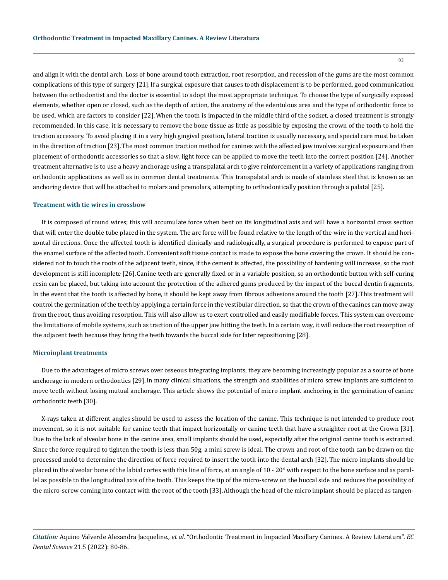and align it with the dental arch. Loss of bone around tooth extraction, root resorption, and recession of the gums are the most common complications of this type of surgery [21].If a surgical exposure that causes tooth displacement is to be performed, good communication between the orthodontist and the doctor is essential to adopt the most appropriate technique. To choose the type of surgically exposed elements, whether open or closed, such as the depth of action, the anatomy of the edentulous area and the type of orthodontic force to be used, which are factors to consider [22].When the tooth is impacted in the middle third of the socket, a closed treatment is strongly recommended. In this case, it is necessary to remove the bone tissue as little as possible by exposing the crown of the tooth to hold the traction accessory. To avoid placing it in a very high gingival position, lateral traction is usually necessary, and special care must be taken in the direction of traction [23].The most common traction method for canines with the affected jaw involves surgical exposure and then placement of orthodontic accessories so that a slow, light force can be applied to move the teeth into the correct position [24]. Another treatment alternative is to use a heavy anchorage using a transpalatal arch to give reinforcement in a variety of applications ranging from orthodontic applications as well as in common dental treatments. This transpalatal arch is made of stainless steel that is known as an anchoring device that will be attached to molars and premolars, attempting to orthodontically position through a palatal [25].

#### **Treatment with tie wires in crossbow**

It is composed of round wires; this will accumulate force when bent on its longitudinal axis and will have a horizontal cross section that will enter the double tube placed in the system. The arc force will be found relative to the length of the wire in the vertical and horizontal directions. Once the affected tooth is identified clinically and radiologically, a surgical procedure is performed to expose part of the enamel surface of the affected tooth. Convenient soft tissue contact is made to expose the bone covering the crown. It should be considered not to touch the roots of the adjacent teeth, since, if the cement is affected, the possibility of hardening will increase, so the root development is still incomplete [26].Canine teeth are generally fixed or in a variable position, so an orthodontic button with self-curing resin can be placed, but taking into account the protection of the adhered gums produced by the impact of the buccal dentin fragments, In the event that the tooth is affected by bone, it should be kept away from fibrous adhesions around the tooth [27].This treatment will control the germination of the teeth by applying a certain force in the vestibular direction, so that the crown of the canines can move away from the root, thus avoiding resorption. This will also allow us to exert controlled and easily modifiable forces. This system can overcome the limitations of mobile systems, such as traction of the upper jaw hitting the teeth. In a certain way, it will reduce the root resorption of the adjacent teeth because they bring the teeth towards the buccal side for later repositioning [28].

# **Microinplant treatments**

Due to the advantages of micro screws over osseous integrating implants, they are becoming increasingly popular as a source of bone anchorage in modern orthodontics [29].In many clinical situations, the strength and stabilities of micro screw implants are sufficient to move teeth without losing mutual anchorage. This article shows the potential of micro implant anchoring in the germination of canine orthodontic teeth [30].

X-rays taken at different angles should be used to assess the location of the canine. This technique is not intended to produce root movement, so it is not suitable for canine teeth that impact horizontally or canine teeth that have a straighter root at the Crown [31]. Due to the lack of alveolar bone in the canine area, small implants should be used, especially after the original canine tooth is extracted. Since the force required to tighten the tooth is less than 50g, a mini screw is ideal. The crown and root of the tooth can be drawn on the processed mold to determine the direction of force required to insert the tooth into the dental arch [32]. The micro implants should be placed in the alveolar bone of the labial cortex with this line of force, at an angle of 10 - 20° with respect to the bone surface and as parallel as possible to the longitudinal axis of the tooth. This keeps the tip of the micro-screw on the buccal side and reduces the possibility of the micro-screw coming into contact with the root of the tooth [33].Although the head of the micro implant should be placed as tangen-

*Citation:* Aquino Valverde Alexandra Jacqueline*., et al.* "Orthodontic Treatment in Impacted Maxillary Canines. A Review Literatura". *EC Dental Science* 21.5 (2022): 80-86.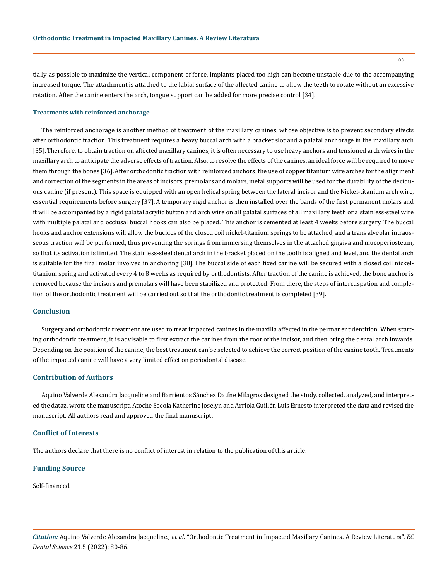tially as possible to maximize the vertical component of force, implants placed too high can become unstable due to the accompanying increased torque. The attachment is attached to the labial surface of the affected canine to allow the teeth to rotate without an excessive rotation. After the canine enters the arch, tongue support can be added for more precise control [34].

## **Treatments with reinforced anchorage**

The reinforced anchorage is another method of treatment of the maxillary canines, whose objective is to prevent secondary effects after orthodontic traction. This treatment requires a heavy buccal arch with a bracket slot and a palatal anchorage in the maxillary arch [35].Therefore, to obtain traction on affected maxillary canines, it is often necessary to use heavy anchors and tensioned arch wires in the maxillary arch to anticipate the adverse effects of traction. Also, to resolve the effects of the canines, an ideal force will be required to move them through the bones [36].After orthodontic traction with reinforced anchors, the use of copper titanium wire arches for the alignment and correction of the segments in the areas of incisors, premolars and molars, metal supports will be used for the durability of the deciduous canine (if present). This space is equipped with an open helical spring between the lateral incisor and the Nickel-titanium arch wire, essential requirements before surgery [37].A temporary rigid anchor is then installed over the bands of the first permanent molars and it will be accompanied by a rigid palatal acrylic button and arch wire on all palatal surfaces of all maxillary teeth or a stainless-steel wire with multiple palatal and occlusal buccal hooks can also be placed. This anchor is cemented at least 4 weeks before surgery. The buccal hooks and anchor extensions will allow the buckles of the closed coil nickel-titanium springs to be attached, and a trans alveolar intraosseous traction will be performed, thus preventing the springs from immersing themselves in the attached gingiva and mucoperiosteum, so that its activation is limited. The stainless-steel dental arch in the bracket placed on the tooth is aligned and level, and the dental arch is suitable for the final molar involved in anchoring [38]. The buccal side of each fixed canine will be secured with a closed coil nickeltitanium spring and activated every 4 to 8 weeks as required by orthodontists. After traction of the canine is achieved, the bone anchor is removed because the incisors and premolars will have been stabilized and protected. From there, the steps of intercuspation and completion of the orthodontic treatment will be carried out so that the orthodontic treatment is completed [39].

# **Conclusion**

Surgery and orthodontic treatment are used to treat impacted canines in the maxilla affected in the permanent dentition. When starting orthodontic treatment, it is advisable to first extract the canines from the root of the incisor, and then bring the dental arch inwards. Depending on the position of the canine, the best treatment can be selected to achieve the correct position of the canine tooth. Treatments of the impacted canine will have a very limited effect on periodontal disease.

#### **Contribution of Authors**

Aquino Valverde Alexandra Jacqueline and Barrientos Sánchez Datfne Milagros designed the study, collected, analyzed, and interpreted the dataz, wrote the manuscript, Atoche Socola Katherine Joselyn and Arriola Guillén Luis Ernesto interpreted the data and revised the manuscript. All authors read and approved the final manuscript.

# **Conflict of Interests**

The authors declare that there is no conflict of interest in relation to the publication of this article.

## **Funding Source**

Self-financed.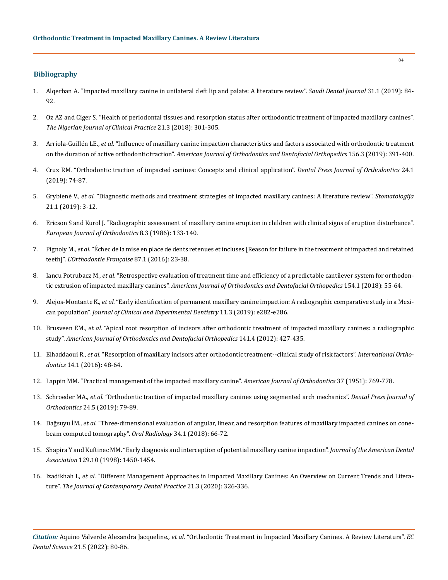## **Bibliography**

- 1. [Alqerban A. "Impacted maxillary canine in unilateral cleft lip and palate: A literature review".](https://www.ncbi.nlm.nih.gov/pmc/articles/PMC6349903/) *Saudi Dental Journal* 31.1 (2019): 84- [92.](https://www.ncbi.nlm.nih.gov/pmc/articles/PMC6349903/)
- 2. [Oz AZ and Ciger S. "Health of periodontal tissues and resorption status after orthodontic treatment of impacted maxillary canines".](https://pubmed.ncbi.nlm.nih.gov/29519977/)  *[The Nigerian Journal of Clinical Practice](https://pubmed.ncbi.nlm.nih.gov/29519977/)* 21.3 (2018): 301-305.
- 3. Arriola-Guillén LE., *et al*[. "Influence of maxillary canine impaction characteristics and factors associated with orthodontic treatment](https://pubmed.ncbi.nlm.nih.gov/31474269/)  on the duration of active orthodontic traction". *[American Journal of Orthodontics and Dentofacial Orthopedics](https://pubmed.ncbi.nlm.nih.gov/31474269/)* 156.3 (2019): 391-400.
- 4. [Cruz RM. "Orthodontic traction of impacted canines: Concepts and clinical application".](https://pubmed.ncbi.nlm.nih.gov/30916252/) *Dental Press Journal of Orthodontics* 24.1 [\(2019\): 74-87.](https://pubmed.ncbi.nlm.nih.gov/30916252/)
- 5. Grybienė V., *et al*[. "Diagnostic methods and treatment strategies of impacted maxillary canines: A literature review".](https://pubmed.ncbi.nlm.nih.gov/31619657/) *Stomatologija* [21.1 \(2019\): 3-12.](https://pubmed.ncbi.nlm.nih.gov/31619657/)
- 6. [Ericson S and Kurol J. "Radiographic assessment of maxillary canine eruption in children with clinical signs of eruption disturbance".](https://pubmed.ncbi.nlm.nih.gov/3464436/)  *[European Journal of Orthodontics](https://pubmed.ncbi.nlm.nih.gov/3464436/)* 8.3 (1986): 133-140.
- 7. Pignoly M., *et al*[. "Échec de la mise en place de dents retenues et incluses \[Reason for failure in the treatment of impacted and retained](https://europepmc.org/article/med/27083220)  teeth]". *[L'Orthodontie Française](https://europepmc.org/article/med/27083220)* 87.1 (2016): 23-38.
- 8. Iancu Potrubacz M., *et al*[. "Retrospective evaluation of treatment time and efficiency of a predictable cantilever system for orthodon](https://pubmed.ncbi.nlm.nih.gov/29957320/)tic extrusion of impacted maxillary canines". *[American Journal of Orthodontics and Dentofacial Orthopedics](https://pubmed.ncbi.nlm.nih.gov/29957320/)* 154.1 (2018): 55-64.
- 9. Alejos-Montante K., *et al*[. "Early identification of permanent maxillary canine impaction: A radiographic comparative study in a Mexi](https://www.ncbi.nlm.nih.gov/pmc/articles/PMC6461733/)can population". *[Journal of Clinical and Experimental Dentistry](https://www.ncbi.nlm.nih.gov/pmc/articles/PMC6461733/)* 11.3 (2019): e282-e286.
- 10. Brusveen EM., *et al*[. "Apical root resorption of incisors after orthodontic treatment of impacted maxillary canines: a radiographic](https://pubmed.ncbi.nlm.nih.gov/22464524/)  study". *[American Journal of Orthodontics and Dentofacial Orthopedics](https://pubmed.ncbi.nlm.nih.gov/22464524/)* 141.4 (2012): 427-435.
- 11. Elhaddaoui R., *et al*[. "Resorption of maxillary incisors after orthodontic treatment--clinical study of risk factors".](https://pubmed.ncbi.nlm.nih.gov/26826965/) *International Orthodontics* [14.1 \(2016\): 48-64.](https://pubmed.ncbi.nlm.nih.gov/26826965/)
- 12. [Lappin MM. "Practical management of the impacted maxillary canine".](https://pubmed.ncbi.nlm.nih.gov/14877988/) *American Journal of Orthodontics* 37 (1951): 769-778.
- 13. Schroeder MA., *et al*[. "Orthodontic traction of impacted maxillary canines using segmented arch mechanics".](https://pubmed.ncbi.nlm.nih.gov/31721951/) *Dental Press Journal of Orthodontics* [24.5 \(2019\): 79-89.](https://pubmed.ncbi.nlm.nih.gov/31721951/)
- 14. Dağsuyu İM., *et al*[. "Three-dimensional evaluation of angular, linear, and resorption features of maxillary impacted canines on cone](https://pubmed.ncbi.nlm.nih.gov/30484094/)[beam computed tomography".](https://pubmed.ncbi.nlm.nih.gov/30484094/) *Oral Radiology* 34.1 (2018): 66-72.
- 15. [Shapira Y and Kuftinec MM. "Early diagnosis and interception of potential maxillary canine impaction".](https://pubmed.ncbi.nlm.nih.gov/9787542/) *Journal of the American Dental Association* [129.10 \(1998\): 1450-1454.](https://pubmed.ncbi.nlm.nih.gov/9787542/)
- 16. Izadikhah I., *et al*[. "Different Management Approaches in Impacted Maxillary Canines: An Overview on Current Trends and Litera](https://www.researchgate.net/publication/340140989_Different_Management_Approaches_in_Impacted_Maxillary_Canines_An_Overview_on_Current_Trends_and_Literature)ture". *[The Journal of Contemporary Dental Practice](https://www.researchgate.net/publication/340140989_Different_Management_Approaches_in_Impacted_Maxillary_Canines_An_Overview_on_Current_Trends_and_Literature)* 21.3 (2020): 326-336.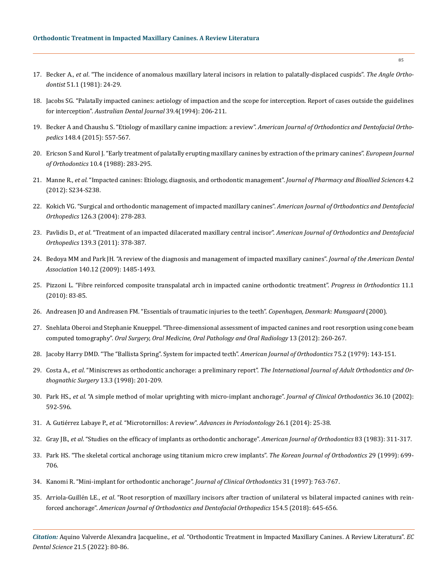- 17. Becker A., *et al*[. "The incidence of anomalous maxillary lateral incisors in relation to palatally-displaced cuspids".](https://pubmed.ncbi.nlm.nih.gov/6939351/) *The Angle Orthodontist* [51.1 \(1981\): 24-29.](https://pubmed.ncbi.nlm.nih.gov/6939351/)
- 18. [Jacobs SG. "Palatally impacted canines: aetiology of impaction and the scope for interception. Report of cases outside the guidelines](https://pubmed.ncbi.nlm.nih.gov/7945046/)  for interception". *[Australian Dental Journal](https://pubmed.ncbi.nlm.nih.gov/7945046/)* 39.4(1994): 206-211.
- 19. [Becker A and Chaushu S. "Etiology of maxillary canine impaction: a review".](https://pubmed.ncbi.nlm.nih.gov/26432311/) *American Journal of Orthodontics and Dentofacial Orthopedics* [148.4 \(2015\): 557-567.](https://pubmed.ncbi.nlm.nih.gov/26432311/)
- 20. [Ericson S and Kurol J. "Early treatment of palatally erupting maxillary canines by extraction of the primary canines".](https://pubmed.ncbi.nlm.nih.gov/3208843/) *European Journal of Orthodontics* [10.4 \(1988\): 283-295.](https://pubmed.ncbi.nlm.nih.gov/3208843/)
- 21. Manne R., *et al*[. "Impacted canines: Etiology, diagnosis, and orthodontic management".](https://www.ncbi.nlm.nih.gov/pmc/articles/PMC3467862/) *Journal of Pharmacy and Bioallied Sciences* 4.2 [\(2012\): S234-S238.](https://www.ncbi.nlm.nih.gov/pmc/articles/PMC3467862/)
- 22. [Kokich VG. "Surgical and orthodontic management of impacted maxillary canines".](https://pubmed.ncbi.nlm.nih.gov/15356485/) *American Journal of Orthodontics and Dentofacial Orthopedics* [126.3 \(2004\): 278-283.](https://pubmed.ncbi.nlm.nih.gov/15356485/)
- 23. Pavlidis D., *et al*[. "Treatment of an impacted dilacerated maxillary central incisor".](https://pubmed.ncbi.nlm.nih.gov/10194285/) *American Journal of Orthodontics and Dentofacial Orthopedics* [139.3 \(2011\): 378-387.](https://pubmed.ncbi.nlm.nih.gov/10194285/)
- 24. [Bedoya MM and Park JH. "A review of the diagnosis and management of impacted maxillary canines".](https://pubmed.ncbi.nlm.nih.gov/19955066/) *Journal of the American Dental Association* [140.12 \(2009\): 1485-1493.](https://pubmed.ncbi.nlm.nih.gov/19955066/)
- 25. [Pizzoni L. "Fibre reinforced composite transpalatal arch in impacted canine orthodontic treatment".](https://pubmed.ncbi.nlm.nih.gov/20529633/) *Progress in Orthodontics* 11.1 [\(2010\): 83-85.](https://pubmed.ncbi.nlm.nih.gov/20529633/)
- 26. [Andreasen JO and Andreasen FM. "Essentials of traumatic injuries to the teeth".](https://onlinelibrary.wiley.com/doi/book/10.1002/9780470698822) *Copenhagen, Denmark: Munsgaard* (2000).
- 27. [Snehlata Oberoi and Stephanie Knueppel. "Three-dimensional assessment of impacted canines and root resorption using cone beam](https://pubmed.ncbi.nlm.nih.gov/22677744/)  computed tomography". *[Oral Surgery, Oral Medicine, Oral Pathology and Oral Radiology](https://pubmed.ncbi.nlm.nih.gov/22677744/)* 13 (2012): 260-267.
- 28. [Jacoby Harry DMD. "The "Ballista Spring". System for impacted tecth".](https://www.sciencedirect.com/science/article/abs/pii/0002941679901830) *American Journal of Orthodontics* 75.2 (1979): 143-151.
- 29. Costa A., *et al*. "Miniscrews as orthodontic anchorage: a preliminary report". *[The International Journal of Adult Orthodontics and Or](https://pubmed.ncbi.nlm.nih.gov/9835819/)[thognathic Surgery](https://pubmed.ncbi.nlm.nih.gov/9835819/)* 13.3 (1998): 201-209.
- 30. Park HS., *et al*[. "A simple method of molar uprighting with micro-implant anchorage".](https://pubmed.ncbi.nlm.nih.gov/12428309/) *Journal of Clinical Orthodontics* 36.10 (2002): [592-596.](https://pubmed.ncbi.nlm.nih.gov/12428309/)
- 31. A. Gutiérrez Labaye P., *et al*. "Microtornillos: A review". *Advances in Periodontology* 26.1 (2014): 25-38.
- 32. Gray JB., *et al*[. "Studies on the efficacy of implants as orthodontic anchorage".](https://pubmed.ncbi.nlm.nih.gov/6573144/) *American Journal of Orthodontics* 83 (1983): 311-317.
- 33. [Park HS. "The skeletal cortical anchorage using titanium micro crew implants".](https://www.semanticscholar.org/paper/The-skeletal-cortical-anchorage-using-titanium-Park/e4890dfaa436555f49533c62845e328dac609ab0) *The Korean Journal of Orthodontics* 29 (1999): 699- [706.](https://www.semanticscholar.org/paper/The-skeletal-cortical-anchorage-using-titanium-Park/e4890dfaa436555f49533c62845e328dac609ab0)
- 34. [Kanomi R. "Mini-implant for orthodontic anchorage".](https://pubmed.ncbi.nlm.nih.gov/9511584/) *Journal of Clinical Orthodontics* 31 (1997): 763-767.
- 35. Arriola-Guillén LE., *et al*[. "Root resorption of maxillary incisors after traction of unilateral vs bilateral impacted canines with rein](https://pubmed.ncbi.nlm.nih.gov/30384935/)forced anchorage". *[American Journal of Orthodontics and Dentofacial Orthopedics](https://pubmed.ncbi.nlm.nih.gov/30384935/)* 154.5 (2018): 645-656.

*Citation:* Aquino Valverde Alexandra Jacqueline*., et al.* "Orthodontic Treatment in Impacted Maxillary Canines. A Review Literatura". *EC Dental Science* 21.5 (2022): 80-86.